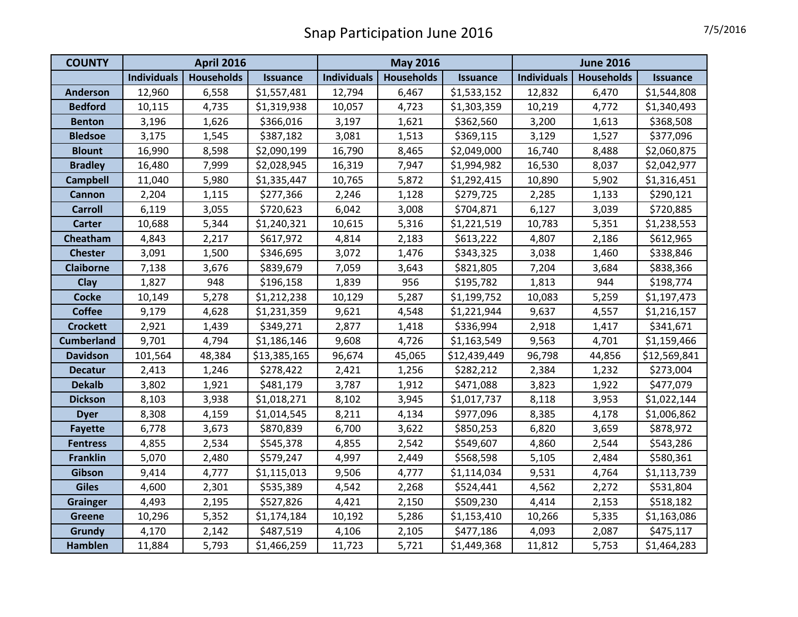| <b>COUNTY</b>     | <b>April 2016</b>  |                   |                 | <b>May 2016</b>    |                   |                 | <b>June 2016</b>   |                   |                 |
|-------------------|--------------------|-------------------|-----------------|--------------------|-------------------|-----------------|--------------------|-------------------|-----------------|
|                   | <b>Individuals</b> | <b>Households</b> | <b>Issuance</b> | <b>Individuals</b> | <b>Households</b> | <b>Issuance</b> | <b>Individuals</b> | <b>Households</b> | <b>Issuance</b> |
| Anderson          | 12,960             | 6,558             | \$1,557,481     | 12,794             | 6,467             | \$1,533,152     | 12,832             | 6,470             | \$1,544,808     |
| <b>Bedford</b>    | 10,115             | 4,735             | \$1,319,938     | 10,057             | 4,723             | \$1,303,359     | 10,219             | 4,772             | \$1,340,493     |
| <b>Benton</b>     | 3,196              | 1,626             | \$366,016       | 3,197              | 1,621             | \$362,560       | 3,200              | 1,613             | \$368,508       |
| <b>Bledsoe</b>    | 3,175              | 1,545             | \$387,182       | 3,081              | 1,513             | \$369,115       | 3,129              | 1,527             | \$377,096       |
| <b>Blount</b>     | 16,990             | 8,598             | \$2,090,199     | 16,790             | 8,465             | \$2,049,000     | 16,740             | 8,488             | \$2,060,875     |
| <b>Bradley</b>    | 16,480             | 7,999             | \$2,028,945     | 16,319             | 7,947             | \$1,994,982     | 16,530             | 8,037             | \$2,042,977     |
| <b>Campbell</b>   | 11,040             | 5,980             | \$1,335,447     | 10,765             | 5,872             | \$1,292,415     | 10,890             | 5,902             | \$1,316,451     |
| Cannon            | 2,204              | 1,115             | \$277,366       | 2,246              | 1,128             | \$279,725       | 2,285              | 1,133             | \$290,121       |
| <b>Carroll</b>    | 6,119              | 3,055             | \$720,623       | 6,042              | 3,008             | \$704,871       | 6,127              | 3,039             | \$720,885       |
| <b>Carter</b>     | 10,688             | 5,344             | \$1,240,321     | 10,615             | 5,316             | \$1,221,519     | 10,783             | 5,351             | \$1,238,553     |
| Cheatham          | 4,843              | 2,217             | \$617,972       | 4,814              | 2,183             | \$613,222       | 4,807              | 2,186             | \$612,965       |
| <b>Chester</b>    | 3,091              | 1,500             | \$346,695       | 3,072              | 1,476             | \$343,325       | 3,038              | 1,460             | \$338,846       |
| <b>Claiborne</b>  | 7,138              | 3,676             | \$839,679       | 7,059              | 3,643             | \$821,805       | 7,204              | 3,684             | \$838,366       |
| <b>Clay</b>       | 1,827              | 948               | \$196,158       | 1,839              | 956               | \$195,782       | 1,813              | 944               | \$198,774       |
| <b>Cocke</b>      | 10,149             | 5,278             | \$1,212,238     | 10,129             | 5,287             | \$1,199,752     | 10,083             | 5,259             | \$1,197,473     |
| <b>Coffee</b>     | 9,179              | 4,628             | \$1,231,359     | 9,621              | 4,548             | \$1,221,944     | 9,637              | 4,557             | \$1,216,157     |
| <b>Crockett</b>   | 2,921              | 1,439             | \$349,271       | 2,877              | 1,418             | \$336,994       | 2,918              | 1,417             | \$341,671       |
| <b>Cumberland</b> | 9,701              | 4,794             | \$1,186,146     | 9,608              | 4,726             | \$1,163,549     | 9,563              | 4,701             | \$1,159,466     |
| <b>Davidson</b>   | 101,564            | 48,384            | \$13,385,165    | 96,674             | 45,065            | \$12,439,449    | 96,798             | 44,856            | \$12,569,841    |
| <b>Decatur</b>    | 2,413              | 1,246             | \$278,422       | 2,421              | 1,256             | \$282,212       | 2,384              | 1,232             | \$273,004       |
| <b>Dekalb</b>     | 3,802              | 1,921             | \$481,179       | 3,787              | 1,912             | \$471,088       | 3,823              | 1,922             | \$477,079       |
| <b>Dickson</b>    | 8,103              | 3,938             | \$1,018,271     | 8,102              | 3,945             | \$1,017,737     | 8,118              | 3,953             | \$1,022,144     |
| <b>Dyer</b>       | 8,308              | 4,159             | \$1,014,545     | 8,211              | 4,134             | \$977,096       | 8,385              | 4,178             | \$1,006,862     |
| <b>Fayette</b>    | 6,778              | 3,673             | \$870,839       | 6,700              | 3,622             | \$850,253       | 6,820              | 3,659             | \$878,972       |
| <b>Fentress</b>   | 4,855              | 2,534             | \$545,378       | 4,855              | 2,542             | \$549,607       | 4,860              | 2,544             | \$543,286       |
| <b>Franklin</b>   | 5,070              | 2,480             | \$579,247       | 4,997              | 2,449             | \$568,598       | 5,105              | 2,484             | \$580,361       |
| Gibson            | 9,414              | 4,777             | \$1,115,013     | 9,506              | 4,777             | \$1,114,034     | 9,531              | 4,764             | \$1,113,739     |
| <b>Giles</b>      | 4,600              | 2,301             | \$535,389       | 4,542              | 2,268             | \$524,441       | 4,562              | 2,272             | \$531,804       |
| <b>Grainger</b>   | 4,493              | 2,195             | \$527,826       | 4,421              | 2,150             | \$509,230       | 4,414              | 2,153             | \$518,182       |
| <b>Greene</b>     | 10,296             | 5,352             | \$1,174,184     | 10,192             | 5,286             | \$1,153,410     | 10,266             | 5,335             | \$1,163,086     |
| Grundy            | 4,170              | 2,142             | \$487,519       | 4,106              | 2,105             | \$477,186       | 4,093              | 2,087             | \$475,117       |
| Hamblen           | 11,884             | 5,793             | \$1,466,259     | 11,723             | 5,721             | \$1,449,368     | 11,812             | 5,753             | \$1,464,283     |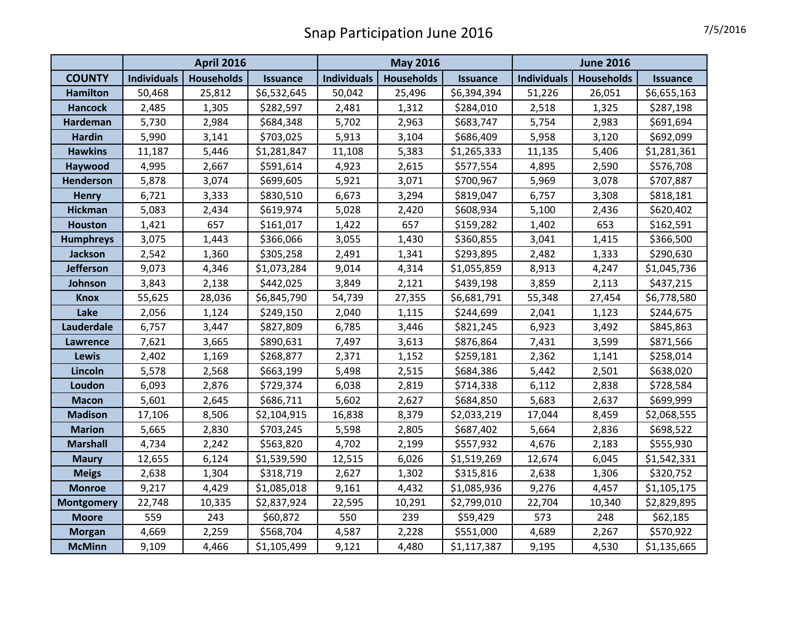|                   | <b>April 2016</b>  |                   |             | <b>May 2016</b>    |                   |                 | <b>June 2016</b>   |            |                 |
|-------------------|--------------------|-------------------|-------------|--------------------|-------------------|-----------------|--------------------|------------|-----------------|
| <b>COUNTY</b>     | <b>Individuals</b> | <b>Households</b> | Issuance    | <b>Individuals</b> | <b>Households</b> | <b>Issuance</b> | <b>Individuals</b> | Households | <b>Issuance</b> |
| <b>Hamilton</b>   | 50,468             | 25,812            | \$6,532,645 | 50,042             | 25,496            | \$6,394,394     | 51,226             | 26,051     | \$6,655,163     |
| <b>Hancock</b>    | 2,485              | 1,305             | \$282,597   | 2,481              | 1,312             | \$284,010       | 2,518              | 1,325      | \$287,198       |
| <b>Hardeman</b>   | 5,730              | 2,984             | \$684,348   | 5,702              | 2,963             | \$683,747       | 5,754              | 2,983      | \$691,694       |
| <b>Hardin</b>     | 5,990              | 3,141             | \$703,025   | 5,913              | 3,104             | \$686,409       | 5,958              | 3,120      | \$692,099       |
| <b>Hawkins</b>    | 11,187             | 5,446             | \$1,281,847 | 11,108             | 5,383             | \$1,265,333     | 11,135             | 5,406      | \$1,281,361     |
| Haywood           | 4,995              | 2,667             | \$591,614   | 4,923              | 2,615             | \$577,554       | 4,895              | 2,590      | \$576,708       |
| <b>Henderson</b>  | 5,878              | 3,074             | \$699,605   | 5,921              | 3,071             | \$700,967       | 5,969              | 3,078      | \$707,887       |
| <b>Henry</b>      | 6,721              | 3,333             | \$830,510   | 6,673              | 3,294             | \$819,047       | 6,757              | 3,308      | \$818,181       |
| <b>Hickman</b>    | 5,083              | 2,434             | \$619,974   | 5,028              | 2,420             | \$608,934       | 5,100              | 2,436      | \$620,402       |
| <b>Houston</b>    | 1,421              | 657               | \$161,017   | 1,422              | 657               | \$159,282       | 1,402              | 653        | \$162,591       |
| <b>Humphreys</b>  | 3,075              | 1,443             | \$366,066   | 3,055              | 1,430             | \$360,855       | 3,041              | 1,415      | \$366,500       |
| <b>Jackson</b>    | 2,542              | 1,360             | \$305,258   | 2,491              | 1,341             | \$293,895       | 2,482              | 1,333      | \$290,630       |
| <b>Jefferson</b>  | 9,073              | 4,346             | \$1,073,284 | 9,014              | 4,314             | \$1,055,859     | 8,913              | 4,247      | \$1,045,736     |
| Johnson           | 3,843              | 2,138             | \$442,025   | 3,849              | 2,121             | \$439,198       | 3,859              | 2,113      | \$437,215       |
| <b>Knox</b>       | 55,625             | 28,036            | \$6,845,790 | 54,739             | 27,355            | \$6,681,791     | 55,348             | 27,454     | \$6,778,580     |
| Lake              | 2,056              | 1,124             | \$249,150   | 2,040              | 1,115             | \$244,699       | 2,041              | 1,123      | \$244,675       |
| Lauderdale        | 6,757              | 3,447             | \$827,809   | 6,785              | 3,446             | \$821,245       | 6,923              | 3,492      | \$845,863       |
| <b>Lawrence</b>   | 7,621              | 3,665             | \$890,631   | 7,497              | 3,613             | \$876,864       | 7,431              | 3,599      | \$871,566       |
| <b>Lewis</b>      | 2,402              | 1,169             | \$268,877   | 2,371              | 1,152             | \$259,181       | 2,362              | 1,141      | \$258,014       |
| Lincoln           | 5,578              | 2,568             | \$663,199   | 5,498              | 2,515             | \$684,386       | 5,442              | 2,501      | \$638,020       |
| Loudon            | 6,093              | 2,876             | \$729,374   | 6,038              | 2,819             | \$714,338       | 6,112              | 2,838      | \$728,584       |
| <b>Macon</b>      | 5,601              | 2,645             | \$686,711   | 5,602              | 2,627             | \$684,850       | 5,683              | 2,637      | \$699,999       |
| <b>Madison</b>    | 17,106             | 8,506             | \$2,104,915 | 16,838             | 8,379             | \$2,033,219     | 17,044             | 8,459      | \$2,068,555     |
| <b>Marion</b>     | 5,665              | 2,830             | \$703,245   | 5,598              | 2,805             | \$687,402       | 5,664              | 2,836      | \$698,522       |
| <b>Marshall</b>   | 4,734              | 2,242             | \$563,820   | 4,702              | 2,199             | \$557,932       | 4,676              | 2,183      | \$555,930       |
| <b>Maury</b>      | 12,655             | 6,124             | \$1,539,590 | 12,515             | 6,026             | \$1,519,269     | 12,674             | 6,045      | \$1,542,331     |
| <b>Meigs</b>      | 2,638              | 1,304             | \$318,719   | 2,627              | 1,302             | \$315,816       | 2,638              | 1,306      | \$320,752       |
| <b>Monroe</b>     | 9,217              | 4,429             | \$1,085,018 | 9,161              | 4,432             | \$1,085,936     | 9,276              | 4,457      | \$1,105,175     |
| <b>Montgomery</b> | 22,748             | 10,335            | \$2,837,924 | 22,595             | 10,291            | \$2,799,010     | 22,704             | 10,340     | \$2,829,895     |
| <b>Moore</b>      | 559                | 243               | \$60,872    | 550                | 239               | \$59,429        | 573                | 248        | \$62,185        |
| <b>Morgan</b>     | 4,669              | 2,259             | \$568,704   | 4,587              | 2,228             | \$551,000       | 4,689              | 2,267      | \$570,922       |
| <b>McMinn</b>     | 9,109              | 4,466             | \$1,105,499 | 9,121              | 4,480             | \$1,117,387     | 9,195              | 4,530      | \$1,135,665     |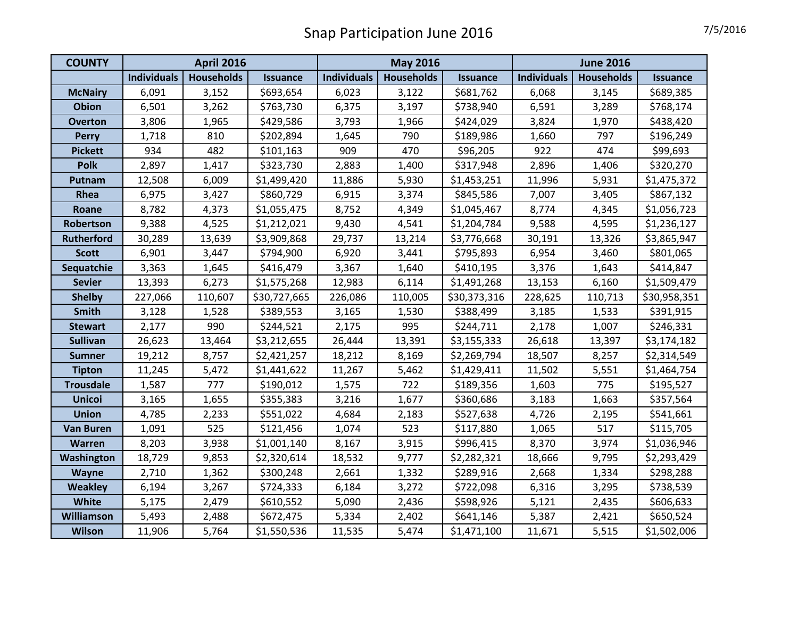| <b>COUNTY</b>     | <b>April 2016</b>  |                   |                 | <b>May 2016</b>    |                   |                 | <b>June 2016</b>   |                   |                 |
|-------------------|--------------------|-------------------|-----------------|--------------------|-------------------|-----------------|--------------------|-------------------|-----------------|
|                   | <b>Individuals</b> | <b>Households</b> | <b>Issuance</b> | <b>Individuals</b> | <b>Households</b> | <b>Issuance</b> | <b>Individuals</b> | <b>Households</b> | <b>Issuance</b> |
| <b>McNairy</b>    | 6,091              | 3,152             | \$693,654       | 6,023              | 3,122             | \$681,762       | 6,068              | 3,145             | \$689,385       |
| <b>Obion</b>      | 6,501              | 3,262             | \$763,730       | 6,375              | 3,197             | \$738,940       | 6,591              | 3,289             | \$768,174       |
| <b>Overton</b>    | 3,806              | 1,965             | \$429,586       | 3,793              | 1,966             | \$424,029       | 3,824              | 1,970             | \$438,420       |
| <b>Perry</b>      | 1,718              | 810               | \$202,894       | 1,645              | 790               | \$189,986       | 1,660              | 797               | \$196,249       |
| <b>Pickett</b>    | 934                | 482               | \$101,163       | 909                | 470               | \$96,205        | 922                | 474               | \$99,693        |
| Polk              | 2,897              | 1,417             | \$323,730       | 2,883              | 1,400             | \$317,948       | 2,896              | 1,406             | \$320,270       |
| Putnam            | 12,508             | 6,009             | \$1,499,420     | 11,886             | 5,930             | \$1,453,251     | 11,996             | 5,931             | \$1,475,372     |
| Rhea              | 6,975              | 3,427             | \$860,729       | 6,915              | 3,374             | \$845,586       | 7,007              | 3,405             | \$867,132       |
| Roane             | 8,782              | 4,373             | \$1,055,475     | 8,752              | 4,349             | \$1,045,467     | 8,774              | 4,345             | \$1,056,723     |
| Robertson         | 9,388              | 4,525             | \$1,212,021     | 9,430              | 4,541             | \$1,204,784     | 9,588              | 4,595             | \$1,236,127     |
| <b>Rutherford</b> | 30,289             | 13,639            | \$3,909,868     | 29,737             | 13,214            | \$3,776,668     | 30,191             | 13,326            | \$3,865,947     |
| <b>Scott</b>      | 6,901              | 3,447             | \$794,900       | 6,920              | 3,441             | \$795,893       | 6,954              | 3,460             | \$801,065       |
| Sequatchie        | 3,363              | 1,645             | \$416,479       | 3,367              | 1,640             | \$410,195       | 3,376              | 1,643             | \$414,847       |
| <b>Sevier</b>     | 13,393             | 6,273             | \$1,575,268     | 12,983             | 6,114             | \$1,491,268     | 13,153             | 6,160             | \$1,509,479     |
| <b>Shelby</b>     | 227,066            | 110,607           | \$30,727,665    | 226,086            | 110,005           | \$30,373,316    | 228,625            | 110,713           | \$30,958,351    |
| <b>Smith</b>      | 3,128              | 1,528             | \$389,553       | 3,165              | 1,530             | \$388,499       | 3,185              | 1,533             | \$391,915       |
| <b>Stewart</b>    | 2,177              | 990               | \$244,521       | 2,175              | 995               | \$244,711       | 2,178              | 1,007             | \$246,331       |
| <b>Sullivan</b>   | 26,623             | 13,464            | \$3,212,655     | 26,444             | 13,391            | \$3,155,333     | 26,618             | 13,397            | \$3,174,182     |
| <b>Sumner</b>     | 19,212             | 8,757             | \$2,421,257     | 18,212             | 8,169             | \$2,269,794     | 18,507             | 8,257             | \$2,314,549     |
| <b>Tipton</b>     | 11,245             | 5,472             | \$1,441,622     | 11,267             | 5,462             | \$1,429,411     | 11,502             | 5,551             | \$1,464,754     |
| <b>Trousdale</b>  | 1,587              | 777               | \$190,012       | 1,575              | 722               | \$189,356       | 1,603              | 775               | \$195,527       |
| <b>Unicoi</b>     | 3,165              | 1,655             | \$355,383       | 3,216              | 1,677             | \$360,686       | 3,183              | 1,663             | \$357,564       |
| <b>Union</b>      | 4,785              | 2,233             | \$551,022       | 4,684              | 2,183             | \$527,638       | 4,726              | 2,195             | \$541,661       |
| <b>Van Buren</b>  | 1,091              | 525               | \$121,456       | 1,074              | 523               | \$117,880       | 1,065              | 517               | \$115,705       |
| Warren            | 8,203              | 3,938             | \$1,001,140     | 8,167              | 3,915             | \$996,415       | 8,370              | 3,974             | \$1,036,946     |
| Washington        | 18,729             | 9,853             | \$2,320,614     | 18,532             | 9,777             | \$2,282,321     | 18,666             | 9,795             | \$2,293,429     |
| Wayne             | 2,710              | 1,362             | \$300,248       | 2,661              | 1,332             | \$289,916       | 2,668              | 1,334             | \$298,288       |
| <b>Weakley</b>    | 6,194              | 3,267             | \$724,333       | 6,184              | 3,272             | \$722,098       | 6,316              | 3,295             | \$738,539       |
| <b>White</b>      | 5,175              | 2,479             | \$610,552       | 5,090              | 2,436             | \$598,926       | 5,121              | 2,435             | \$606,633       |
| <b>Williamson</b> | 5,493              | 2,488             | \$672,475       | 5,334              | 2,402             | \$641,146       | 5,387              | 2,421             | \$650,524       |
| Wilson            | 11,906             | 5,764             | \$1,550,536     | 11,535             | 5,474             | \$1,471,100     | 11,671             | 5,515             | \$1,502,006     |